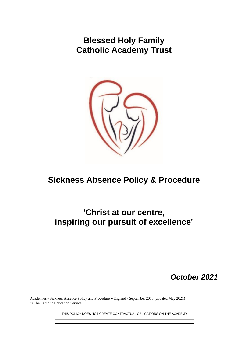

Academies - Sickness Absence Policy and Procedure – England - September 2013 (updated May 2021) © The Catholic Education Service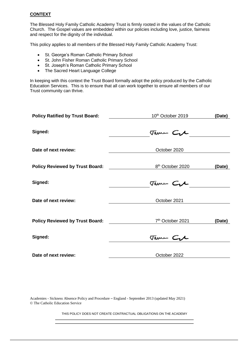#### **CONTEXT**

The Blessed Holy Family Catholic Academy Trust is firmly rooted in the values of the Catholic Church. The Gospel values are embedded within our policies including love, justice, fairness and respect for the dignity of the individual.

This policy applies to all members of the Blessed Holy Family Catholic Academy Trust:

- St. George's Roman Catholic Primary School
- St. John Fisher Roman Catholic Primary School
- St. Joseph's Roman Catholic Primary School
- The Sacred Heart Language College

In keeping with this context the Trust Board formally adopt the policy produced by the Catholic Education Services. This is to ensure that all can work together to ensure all members of our Trust community can thrive.

| <b>Policy Ratified by Trust Board:</b> | 10 <sup>th</sup> October 2019 | (Date) |  |  |
|----------------------------------------|-------------------------------|--------|--|--|
| Signed:                                | Tame Cre                      |        |  |  |
| Date of next review:                   | October 2020                  |        |  |  |
| <b>Policy Reviewed by Trust Board:</b> | 8 <sup>th</sup> October 2020  | (Date) |  |  |
| Signed:                                | Tame Cre                      |        |  |  |
| Date of next review:                   | October 2021                  |        |  |  |
| <b>Policy Reviewed by Trust Board:</b> | 7 <sup>th</sup> October 2021  | (Date) |  |  |
| Signed:                                | Tame Crl                      |        |  |  |
| Date of next review:                   | October 2022                  |        |  |  |

Academies - Sickness Absence Policy and Procedure – England - September 2013 (updated May 2021) © The Catholic Education Service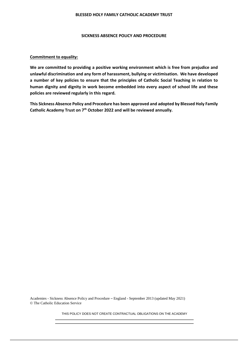#### **BLESSED HOLY FAMILY CATHOLIC ACADEMY TRUST**

#### **SICKNESS ABSENCE POLICY AND PROCEDURE**

#### **Commitment to equality:**

**We are committed to providing a positive working environment which is free from prejudice and unlawful discrimination and any form of harassment, bullying or victimisation. We have developed a number of key policies to ensure that the principles of Catholic Social Teaching in relation to human dignity and dignity in work become embedded into every aspect of school life and these policies are reviewed regularly in this regard.**

**This Sickness Absence Policy and Procedure has been approved and adopted by Blessed Holy Family Catholic Academy Trust on 7th October 2022 and will be reviewed annually.**

Academies - Sickness Absence Policy and Procedure – England - September 2013 (updated May 2021) © The Catholic Education Service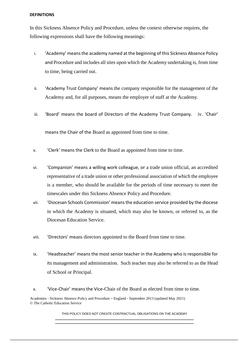#### **DEFINITIONS**

In this Sickness Absence Policy and Procedure, unless the context otherwise requires, the following expressions shall have the following meanings:

- i. 'Academy' means the academy named at the beginning of this Sickness Absence Policy and Procedure and includes all sites upon which the Academy undertaking is, from time to time, being carried out.
- ii. 'Academy Trust Company' means the company responsible for the management of the Academy and, for all purposes, means the employer of staff at the Academy.
- iii. 'Board' means the board of Directors of the Academy Trust Company. iv. 'Chair'

means the Chair of the Board as appointed from time to time.

- v. 'Clerk' means the Clerk to the Board as appointed from time to time.
- vi. 'Companion' means a willing work colleague, or a trade union official, an accredited representative of a trade union or other professional association of which the employee is a member, who should be available for the periods of time necessary to meet the timescales under this Sickness Absence Policy and Procedure.
- vii. 'Diocesan Schools Commission' means the education service provided by the diocese in which the Academy is situated, which may also be known, or referred to, as the Diocesan Education Service.
- viii. 'Directors' means directors appointed to the Board from time to time.
- ix. 'Headteacher' means the most senior teacher in the Academy who is responsible for its management and administration. Such teacher may also be referred to as the Head of School or Principal.
- x. 'Vice-Chair' means the Vice-Chair of the Board as elected from time to time.

Academies - Sickness Absence Policy and Procedure – England - September 2013 (updated May 2021) © The Catholic Education Service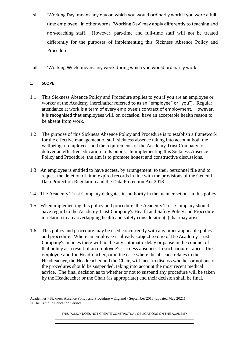- xi. 'Working Day' means any day on which you would ordinarily work if you were a fulltime employee. In other words, 'Working Day' may apply differently to teaching and non-teaching staff. However, part-time and full-time staff will not be treated differently for the purposes of implementing this Sickness Absence Policy and Procedure.
- xii. 'Working Week' means any week during which you would ordinarily work.

### **1. SCOPE**

- 1.1 This Sickness Absence Policy and Procedure applies to you if you are an employee or worker at the Academy (hereinafter referred to as an "employee" or "you"). Regular attendance at work is a term of every employee's contract of employment. However, it is recognised that employees will, on occasion, have an acceptable health reason to be absent from work.
- 1.2 The purpose of this Sickness Absence Policy and Procedure is to establish a framework for the effective management of staff sickness absence taking into account both the wellbeing of employees and the requirements of the Academy Trust Company to deliver an effective education to its pupils. In implementing this Sickness Absence Policy and Procedure, the aim is to promote honest and constructive discussions.
- 1.3 An employee is entitled to have access, by arrangement, to their personnel file and to request the deletion of time-expired records in line with the provisions of the General Data Protection Regulation and the Data Protection Act 2018.
- 1.4 The Academy Trust Company delegates its authority in the manner set out in this policy.
- 1.5 When implementing this policy and procedure, the Academy Trust Company should have regard to the Academy Trust Company's Health and Safety Policy and Procedure in relation to any overlapping health and safety consideration(s) that may arise.
- 1.6 This policy and procedure may be used concurrently with any other applicable policy and procedure. Where an employee is already subject to one of the Academy Trust Company's policies there will not be any automatic delay or pause in the conduct of that policy as a result of an employee's sickness absence. In such circumstances, the employee and the Headteacher, or in the case where the absence relates to the Headteacher, the Headteacher and the Chair, will meet to discuss whether or not one of the procedures should be suspended, taking into account the most recent medical advice. The final decision as to whether or not to suspend any procedure will be taken by the Headteacher or the Chair (as appropriate) and their decision shall be final.

Academies - Sickness Absence Policy and Procedure – England - September 2013 (updated May 2021) © The Catholic Education Service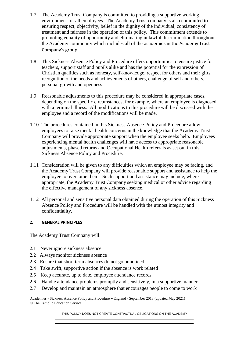- 1.7 The Academy Trust Company is committed to providing a supportive working environment for all employees. The Academy Trust company is also committed to ensuring respect, objectivity, belief in the dignity of the individual, consistency of treatment and fairness in the operation of this policy. This commitment extends to promoting equality of opportunity and eliminating unlawful discrimination throughout the Academy community which includes all of the academies in the Academy Trust Company's group.
- 1.8 This Sickness Absence Policy and Procedure offers opportunities to ensure justice for teachers, support staff and pupils alike and has the potential for the expression of Christian qualities such as honesty, self-knowledge, respect for others and their gifts, recognition of the needs and achievements of others, challenge of self and others, personal growth and openness.
- 1.9 Reasonable adjustments to this procedure may be considered in appropriate cases, depending on the specific circumstances, for example, where an employee is diagnosed with a terminal illness. All modifications to this procedure will be discussed with the employee and a record of the modifications will be made.
- 1.10 The procedures contained in this Sickness Absence Policy and Procedure allow employees to raise mental health concerns in the knowledge that the Academy Trust Company will provide appropriate support when the employee seeks help. Employees experiencing mental health challenges will have access to appropriate reasonable adjustments, phased returns and Occupational Health referrals as set out in this Sickness Absence Policy and Procedure.
- 1.11 Consideration will be given to any difficulties which an employee may be facing, and the Academy Trust Company will provide reasonable support and assistance to help the employee to overcome them. Such support and assistance may include, where appropriate, the Academy Trust Company seeking medical or other advice regarding the effective management of any sickness absence.
- 1.12 All personal and sensitive personal data obtained during the operation of this Sickness Absence Policy and Procedure will be handled with the utmost integrity and confidentiality.

# **2. GENERAL PRINCIPLES**

The Academy Trust Company will:

- 2.1 Never ignore sickness absence
- 2.2 Always monitor sickness absence
- 2.3 Ensure that short term absences do not go unnoticed
- 2.4 Take swift, supportive action if the absence is work related
- 2.5 Keep accurate, up to date, employee attendance records
- 2.6 Handle attendance problems promptly and sensitively, in a supportive manner
- 2.7 Develop and maintain an atmosphere that encourages people to come to work

Academies - Sickness Absence Policy and Procedure – England - September 2013 (updated May 2021) © The Catholic Education Service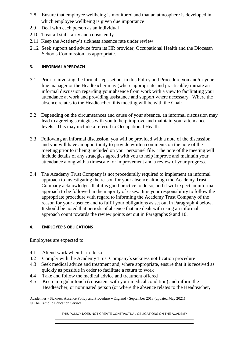- 2.8 Ensure that employee wellbeing is monitored and that an atmosphere is developed in which employee wellbeing is given due importance
- 2.9 Deal with each person as an individual
- 2.10 Treat all staff fairly and consistently
- 2.11 Keep the Academy's sickness absence rate under review
- 2.12 Seek support and advice from its HR provider, Occupational Health and the Diocesan Schools Commission, as appropriate.

# **3. INFORMAL APPROACH**

- 3.1 Prior to invoking the formal steps set out in this Policy and Procedure you and/or your line manager or the Headteacher may (where appropriate and practicable) initiate an informal discussion regarding your absence from work with a view to facilitating your attendance at work and providing assistance and support where necessary. Where the absence relates to the Headteacher, this meeting will be with the Chair.
- 3.2 Depending on the circumstances and cause of your absence, an informal discussion may lead to agreeing strategies with you to help improve and maintain your attendance levels. This may include a referral to Occupational Health.
- 3.3 Following an informal discussion, you will be provided with a note of the discussion and you will have an opportunity to provide written comments on the note of the meeting prior to it being included on your personnel file. The note of the meeting will include details of any strategies agreed with you to help improve and maintain your attendance along with a timescale for improvement and a review of your progress.
- 3.4 The Academy Trust Company is not procedurally required to implement an informal approach to investigating the reason for your absence although the Academy Trust Company acknowledges that it is good practice to do so, and it will expect an informal approach to be followed in the majority of cases. It is your responsibility to follow the appropriate procedure with regard to informing the Academy Trust Company of the reason for your absence and to fulfil your obligations as set out in Paragraph 4 below. It should be noted that periods of absence that are dealt with using an informal approach count towards the review points set out in Paragraphs 9 and 10.

# **4. EMPLOYEE'S OBLIGATIONS**

Employees are expected to:

- 4.1 Attend work when fit to do so
- 4.2 Comply with the Academy Trust Company's sickness notification procedure
- 4.3 Seek medical advice and treatment and, where appropriate, ensure that it is received as quickly as possible in order to facilitate a return to work
- 4.4 Take and follow the medical advice and treatment offered
- 4.5 Keep in regular touch (consistent with your medical condition) and inform the Headteacher, or nominated person (or where the absence relates to the Headteacher,

Academies - Sickness Absence Policy and Procedure – England - September 2013 (updated May 2021) © The Catholic Education Service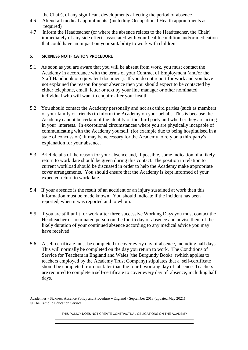the Chair), of any significant developments affecting the period of absence

- 4.6 Attend all medical appointments, (including Occupational Health appointments as required)
- 4.7 Inform the Headteacher (or where the absence relates to the Headteacher, the Chair) immediately of any side effects associated with your health condition and/or medication that could have an impact on your suitability to work with children.

# **5. SICKNESS NOTIFICATION PROCEDURE**

- 5.1 As soon as you are aware that you will be absent from work, you must contact the Academy in accordance with the terms of your Contract of Employment (and/or the Staff Handbook or equivalent document). If you do not report for work and you have not explained the reason for your absence then you should expect to be contacted by either telephone, email, letter or text by your line manager or other nominated individual who will want to enquire after your health.
- 5.2 You should contact the Academy personally and not ask third parties (such as members of your family or friends) to inform the Academy on your behalf. This is because the Academy cannot be certain of the identity of the third party and whether they are acting in your interests. In exceptional circumstances where you are physically incapable of communicating with the Academy yourself, (for example due to being hospitalised in a state of concussion), it may be necessary for the Academy to rely on a thirdparty's explanation for your absence.
- 5.3 Brief details of the reason for your absence and, if possible, some indication of a likely return to work date should be given during this contact. The position in relation to current workload should be discussed in order to help the Academy make appropriate cover arrangements. You should ensure that the Academy is kept informed of your expected return to work date.
- 5.4 If your absence is the result of an accident or an injury sustained at work then this information must be made known. You should indicate if the incident has been reported, when it was reported and to whom.
- 5.5 If you are still unfit for work after three successive Working Days you must contact the Headteacher or nominated person on the fourth day of absence and advise them of the likely duration of your continued absence according to any medical advice you may have received.
- 5.6 A self certificate must be completed to cover every day of absence, including half days. This will normally be completed on the day you return to work. The Conditions of Service for Teachers in England and Wales (the Burgundy Book) (which applies to teachers employed by the Academy Trust Company) stipulates that a self-certificate should be completed from not later than the fourth working day of absence. Teachers are required to complete a self-certificate to cover every day of absence, including half days.

Academies - Sickness Absence Policy and Procedure – England - September 2013 (updated May 2021) © The Catholic Education Service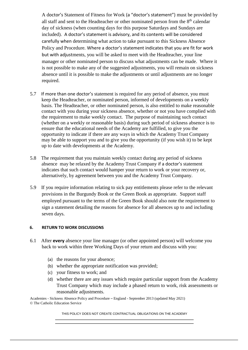A doctor's Statement of Fitness for Work (a "doctor's statement") must be provided by all staff and sent to the Headteacher or other nominated person from the 8<sup>th</sup> calendar day of sickness (when counting days for this purpose Saturdays and Sundays are included). A doctor's statement is advisory, and its contents will be considered carefully when determining what action to take pursuant to this Sickness Absence Policy and Procedure. Where a doctor's statement indicates that you are fit for work but with adjustments, you will be asked to meet with the Headteacher, your line manager or other nominated person to discuss what adjustments can be made. Where it is not possible to make any of the suggested adjustments, you will remain on sickness absence until it is possible to make the adjustments or until adjustments are no longer required.

- 5.7 If more than one doctor's statement is required for any period of absence, you must keep the Headteacher, or nominated person, informed of developments on a weekly basis. The Headteacher, or other nominated person, is also entitled to make reasonable contact with you during your sickness absence, whether or not you have complied with the requirement to make weekly contact. The purpose of maintaining such contact (whether on a weekly or reasonable basis) during such period of sickness absence is to ensure that the educational needs of the Academy are fulfilled, to give you the opportunity to indicate if there are any ways in which the Academy Trust Company may be able to support you and to give you the opportunity (if you wish it) to be kept up to date with developments at the Academy.
- 5.8 The requirement that you maintain weekly contact during any period of sickness absence may be relaxed by the Academy Trust Company if a doctor's statement indicates that such contact would hamper your return to work or your recovery or, alternatively, by agreement between you and the Academy Trust Company.
- 5.9 If you require information relating to sick pay entitlements please refer to the relevant provisions in the Burgundy Book or the Green Book as appropriate. Support staff employed pursuant to the terms of the Green Book should also note the requirement to sign a statement detailing the reasons for absence for all absences up to and including seven days.

### **6. RETURN TO WORK DISCUSSIONS**

- 6.1 After **every** absence your line manager (or other appointed person) will welcome you back to work within three Working Days of your return and discuss with you:
	- (a) the reasons for your absence;
	- (b) whether the appropriate notification was provided;
	- (c) your fitness to work; and
	- (d) whether there are any issues which require particular support from the Academy Trust Company which may include a phased return to work, risk assessments or reasonable adjustments.

Academies - Sickness Absence Policy and Procedure – England - September 2013 (updated May 2021) © The Catholic Education Service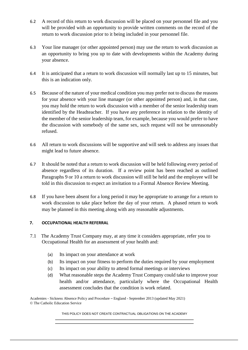- 6.2 A record of this return to work discussion will be placed on your personnel file and you will be provided with an opportunity to provide written comments on the record of the return to work discussion prior to it being included in your personnel file.
- 6.3 Your line manager (or other appointed person) may use the return to work discussion as an opportunity to bring you up to date with developments within the Academy during your absence.
- 6.4 It is anticipated that a return to work discussion will normally last up to 15 minutes, but this is an indication only.
- 6.5 Because of the nature of your medical condition you may prefer not to discuss the reasons for your absence with your line manager (or other appointed person) and, in that case, you may hold the return to work discussion with a member of the senior leadership team identified by the Headteacher. If you have any preference in relation to the identity of the member of the senior leadership team, for example, because you would prefer to have the discussion with somebody of the same sex, such request will not be unreasonably refused.
- 6.6 All return to work discussions will be supportive and will seek to address any issues that might lead to future absence.
- 6.7 It should be noted that a return to work discussion will be held following every period of absence regardless of its duration. If a review point has been reached as outlined Paragraphs 9 or 10 a return to work discussion will still be held and the employee will be told in this discussion to expect an invitation to a Formal Absence Review Meeting.
- 6.8 If you have been absent for a long period it may be appropriate to arrange for a return to work discussion to take place before the day of your return. A phased return to work may be planned in this meeting along with any reasonable adjustments.

# **7. OCCUPATIONAL HEALTH REFERRAL**

- 7.1 The Academy Trust Company may, at any time it considers appropriate, refer you to Occupational Health for an assessment of your health and:
	- (a) Its impact on your attendance at work
	- (b) Its impact on your fitness to perform the duties required by your employment
	- (c) Its impact on your ability to attend formal meetings or interviews
	- (d) What reasonable steps the Academy Trust Company could take to improve your health and/or attendance, particularly where the Occupational Health assessment concludes that the condition is work related.

Academies - Sickness Absence Policy and Procedure – England - September 2013 (updated May 2021) © The Catholic Education Service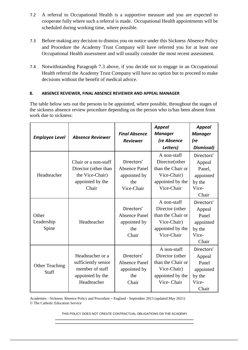- 7.2 A referral to Occupational Health is a supportive measure and you are expected to cooperate fully where such a referral is made. Occupational Health appointments will be scheduled during working time, where possible.
- 7.3 Before making any decision to dismiss you on notice under this Sickness Absence Policy and Procedure the Academy Trust Company will have referred you for at least one Occupational Health assessment and will usually consider the most recent assessment.
- 7.4 Notwithstanding Paragraph 7.3 above, if you decide not to engage in an Occupational Health referral the Academy Trust Company will have no option but to proceed to make decisions without the benefit of medical advice.

# **8. ABSENCE REVIEWER, FINAL ABSENCE REVIEWER AND APPEAL MANAGER**

The table below sets out the persons to be appointed, where possible, throughout the stages of the sickness absence review procedure depending on the person who is/has been absent from work due to sickness:

| <b>Employee Level</b>          | <b>Absence Reviewer</b>                                                                       | <b>Final Absence</b><br><b>Reviewer</b>                                 | <b>Appeal</b><br><b>Manager</b><br>(re Absence<br>Letters)                                           | <b>Appeal</b><br><b>Manager</b><br>(re<br>Dismissal)                    |
|--------------------------------|-----------------------------------------------------------------------------------------------|-------------------------------------------------------------------------|------------------------------------------------------------------------------------------------------|-------------------------------------------------------------------------|
| Headteacher                    | Chair or a non-staff<br>Director (other than<br>the Vice-Chair)<br>appointed by the<br>Chair  | Directors'<br><b>Absence Panel</b><br>appointed by<br>the<br>Vice-Chair | A non-staff<br>Director(other<br>than the Chair or<br>Vice-Chair)<br>appointed by the<br>Vice-Chair  | Directors'<br>Appeal<br>Panel,<br>appointed<br>by the<br>Vice-<br>Chair |
| Other<br>Leadership<br>Spine   | Headteacher                                                                                   | Directors'<br><b>Absence Panel</b><br>appointed by<br>the<br>Chair      | A non-staff<br>Director (other<br>than the Chair or<br>Vice-Chair)<br>appointed by the<br>Vice-Chair | Directors'<br>Appeal<br>Panel<br>appointed<br>by the<br>Vice-<br>Chair  |
| <b>Other Teaching</b><br>Staff | Headteacher or a<br>sufficiently senior<br>member of staff<br>appointed by the<br>Headteacher | Directors'<br><b>Absence Panel</b><br>appointed by<br>the<br>Chair      | A non-staff<br>Director (other<br>than the Chair or<br>Vice-Chair)<br>appointed by the<br>Vice-Chair | Directors'<br>Appeal<br>Panel<br>appointed<br>by the<br>Vice-<br>Chair  |

Academies - Sickness Absence Policy and Procedure – England - September 2013 (updated May 2021) © The Catholic Education Service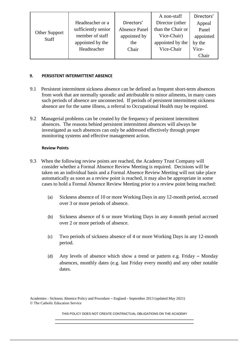| Other Support<br><b>Staff</b> |                     |                      | A non-staff       | Directors' |
|-------------------------------|---------------------|----------------------|-------------------|------------|
|                               | Headteacher or a    | Directors'           | Director (other   | Appeal     |
|                               | sufficiently senior | <b>Absence Panel</b> | than the Chair or | Panel      |
|                               | member of staff     | appointed by         | Vice-Chair)       | appointed  |
|                               | appointed by the    | the                  | appointed by the  | by the     |
|                               | Headteacher         | Chair                | Vice-Chair        | Vice-      |
|                               |                     |                      |                   | Chair      |

## **9. PERSISTENT INTERMITTENT ABSENCE**

- 9.1 Persistent intermittent sickness absence can be defined as frequent short-term absences from work that are normally sporadic and attributable to minor ailments, in many cases such periods of absence are unconnected. If periods of persistent intermittent sickness absence are for the same illness, a referral to Occupational Health may be required.
- 9.2 Managerial problems can be created by the frequency of persistent intermittent absences. The reasons behind persistent intermittent absences will always be investigated as such absences can only be addressed effectively through proper monitoring systems and effective management action.

### **Review Points**

- 9.3 When the following review points are reached, the Academy Trust Company will consider whether a Formal Absence Review Meeting is required. Decisions will be taken on an individual basis and a Formal Absence Review Meeting will not take place automatically as soon as a review point is reached, it may also be appropriate in some cases to hold a Formal Absence Review Meeting prior to a review point being reached:
	- (a) Sickness absence of 10 or more Working Days in any 12-month period, accrued over 3 or more periods of absence.
	- (b) Sickness absence of 6 or more Working Days in any 4-month period accrued over 2 or more periods of absence.
	- (c) Two periods of sickness absence of 4 or more Working Days in any 12-month period.
	- (d) Any levels of absence which show a trend or pattern e.g. Friday Monday absences, monthly dates (e.g. last Friday every month) and any other notable dates.

Academies - Sickness Absence Policy and Procedure – England - September 2013 (updated May 2021) © The Catholic Education Service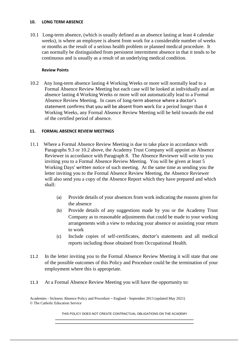#### **10. LONG TERM ABSENCE**

10.1 Long-term absence, (which is usually defined as an absence lasting at least 4 calendar weeks), is where an employee is absent from work for a considerable number of weeks or months as the result of a serious health problem or planned medical procedure. It can normally be distinguished from persistent intermittent absence in that it tends to be continuous and is usually as a result of an underlying medical condition.

### **Review Points**

10.2 Any long-term absence lasting 4 Working Weeks or more will normally lead to a Formal Absence Review Meeting but each case will be looked at individually and an absence lasting 4 Working Weeks or more will not automatically lead to a Formal Absence Review Meeting. In cases of long-term absence where a doctor's statement confirms that you will be absent from work for a period longer than 4 Working Weeks, any Formal Absence Review Meeting will be held towards the end of the certified period of absence.

### **11. FORMAL ABSENCE REVIEW MEETINGS**

- 11.1 Where a Formal Absence Review Meeting is due to take place in accordance with Paragraphs 9.3 or 10.2 above, the Academy Trust Company will appoint an Absence Reviewer in accordance with Paragraph 8. The Absence Reviewer will write to you inviting you to a Formal Absence Review Meeting. You will be given at least 5 Working Days' written notice of such meeting. At the same time as sending you the letter inviting you to the Formal Absence Review Meeting, the Absence Reviewer will also send you a copy of the Absence Report which they have prepared and which shall:
	- (a) Provide details of your absences from work indicating the reasons given for the absence
	- (b) Provide details of any suggestions made by you or the Academy Trust Company as to reasonable adjustments that could be made to your working arrangements with a view to reducing your absence or assisting your return to work
	- (c) Include copies of self-certificates, doctor's statements and all medical reports including those obtained from Occupational Health.
- 11.2 In the letter inviting you to the Formal Absence Review Meeting it will state that one of the possible outcomes of this Policy and Procedure could be the termination of your employment where this is appropriate.
- 11.3 At a Formal Absence Review Meeting you will have the opportunity to:

Academies - Sickness Absence Policy and Procedure – England - September 2013 (updated May 2021) © The Catholic Education Service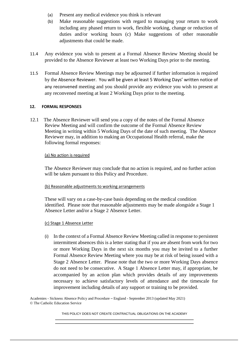- (a) Present any medical evidence you think is relevant
- (b) Make reasonable suggestions with regard to managing your return to work including any phased return to work, flexible working, change or reduction of duties and/or working hours (c) Make suggestions of other reasonable adjustments that could be made.
- 11.4 Any evidence you wish to present at a Formal Absence Review Meeting should be provided to the Absence Reviewer at least two Working Days prior to the meeting.
- 11.5 Formal Absence Review Meetings may be adjourned if further information is required by the Absence Reviewer. You will be given at least 5 Working Days' written notice of any reconvened meeting and you should provide any evidence you wish to present at any reconvened meeting at least 2 Working Days prior to the meeting.

### **12. FORMAL RESPONSES**

12.1 The Absence Reviewer will send you a copy of the notes of the Formal Absence Review Meeting and will confirm the outcome of the Formal Absence Review Meeting in writing within 5 Working Days of the date of such meeting. The Absence Reviewer may, in addition to making an Occupational Health referral, make the following formal responses:

### (a) No action is required

The Absence Reviewer may conclude that no action is required, and no further action will be taken pursuant to this Policy and Procedure.

### (b) Reasonable adjustments to working arrangements

These will vary on a case-by-case basis depending on the medical condition identified. Please note that reasonable adjustments may be made alongside a Stage 1 Absence Letter and/or a Stage 2 Absence Letter.

### (c) Stage 1 Absence Letter

(i) In the context of a Formal Absence Review Meeting called in response to persistent intermittent absences this is a letter stating that if you are absent from work for two or more Working Days in the next six months you may be invited to a further Formal Absence Review Meeting where you may be at risk of being issued with a Stage 2 Absence Letter. Please note that the two or more Working Days absence do not need to be consecutive. A Stage 1 Absence Letter may, if appropriate, be accompanied by an action plan which provides details of any improvements necessary to achieve satisfactory levels of attendance and the timescale for improvement including details of any support or training to be provided.

Academies - Sickness Absence Policy and Procedure – England - September 2013 (updated May 2021) © The Catholic Education Service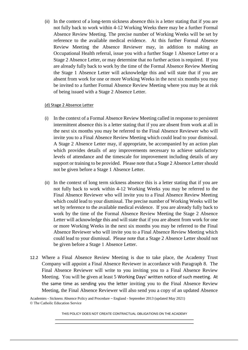(ii) In the context of a long-term sickness absence this is a letter stating that if you are not fully back to work within 4-12 Working Weeks there may be a further Formal Absence Review Meeting. The precise number of Working Weeks will be set by reference to the available medical evidence. At this further Formal Absence Review Meeting the Absence Reviewer may, in addition to making an Occupational Health referral, issue you with a further Stage 1 Absence Letter or a Stage 2 Absence Letter, or may determine that no further action is required. If you are already fully back to work by the time of the Formal Absence Review Meeting the Stage 1 Absence Letter will acknowledge this and will state that if you are absent from work for one or more Working Weeks in the next six months you may be invited to a further Formal Absence Review Meeting where you may be at risk of being issued with a Stage 2 Absence Letter.

### (d) Stage 2 Absence Letter

- (i) In the context of a Formal Absence Review Meeting called in response to persistent intermittent absence this is a letter stating that if you are absent from work at all in the next six months you may be referred to the Final Absence Reviewer who will invite you to a Final Absence Review Meeting which could lead to your dismissal. A Stage 2 Absence Letter may, if appropriate, be accompanied by an action plan which provides details of any improvements necessary to achieve satisfactory levels of attendance and the timescale for improvement including details of any support or training to be provided. Please note that a Stage 2 Absence Letter should not be given before a Stage 1 Absence Letter.
- (ii) In the context of long term sickness absence this is a letter stating that if you are not fully back to work within 4-12 Working Weeks you may be referred to the Final Absence Reviewer who will invite you to a Final Absence Review Meeting which could lead to your dismissal. The precise number of Working Weeks will be set by reference to the available medical evidence. If you are already fully back to work by the time of the Formal Absence Review Meeting the Stage 2 Absence Letter will acknowledge this and will state that if you are absent from work for one or more Working Weeks in the next six months you may be referred to the Final Absence Reviewer who will invite you to a Final Absence Review Meeting which could lead to your dismissal. Please note that a Stage 2 Absence Letter should not be given before a Stage 1 Absence Letter.
- 12.2 Where a Final Absence Review Meeting is due to take place, the Academy Trust Company will appoint a Final Absence Reviewer in accordance with Paragraph 8. The Final Absence Reviewer will write to you inviting you to a Final Absence Review Meeting. You will be given at least 5 Working Days' written notice of such meeting. At the same time as sending you the letter inviting you to the Final Absence Review Meeting, the Final Absence Reviewer will also send you a copy of an updated Absence

Academies - Sickness Absence Policy and Procedure – England - September 2013 (updated May 2021) © The Catholic Education Service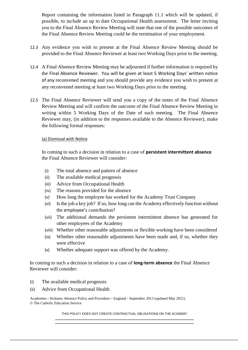Report containing the information listed in Paragraph 11.1 which will be updated, if possible, to include an up to date Occupational Health assessment. The letter inviting you to the Final Absence Review Meeting will state that one of the possible outcomes of the Final Absence Review Meeting could be the termination of your employment.

- 12.3 Any evidence you wish to present at the Final Absence Review Meeting should be provided to the Final Absence Reviewer at least two Working Days prior to the meeting.
- 12.4 A Final Absence Review Meeting may be adjourned if further information is required by the Final Absence Reviewer. You will be given at least 5 Working Days' written notice of any reconvened meeting and you should provide any evidence you wish to present at any reconvened meeting at least two Working Days prior to the meeting.
- 12.5 The Final Absence Reviewer will send you a copy of the notes of the Final Absence Review Meeting and will confirm the outcome of the Final Absence Review Meeting in writing within 5 Working Days of the Date of such meeting. The Final Absence Reviewer may, (in addition to the responses available to the Absence Reviewer), make the following formal responses:

### (a) Dismissal with Notice

In coming to such a decision in relation to a case of **persistent intermittent absence** the Final Absence Reviewer will consider:

- (i) The total absence and pattern of absence
- (ii) The available medical prognosis
- (iii) Advice from Occupational Health
- (iv) The reasons provided for the absence
- (v) How long the employee has worked for the Academy Trust Company
- (vi) Is the job a key job? If so, how long can the Academy effectively function without the employee's contribution?
- (vii) The additional demands the persistent intermittent absence has generated for other employees of the Academy
- (viii) Whether other reasonable adjustments or flexible working have been considered
- (ix) Whether other reasonable adjustments have been made and, if so, whether they were effective
- (x) Whether adequate support was offered by the Academy.

In coming to such a decision in relation to a case of **long-term absence** the Final Absence Reviewer will consider:

- (i) The available medical prognosis
- (ii) Advice from Occupational Health

Academies - Sickness Absence Policy and Procedure – England - September 2013 (updated May 2021) © The Catholic Education Service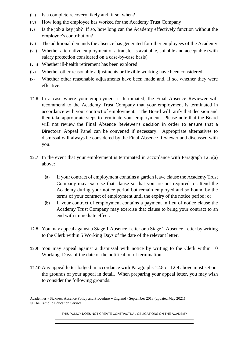- (iii) Is a complete recovery likely and, if so, when?
- (iv) How long the employee has worked for the Academy Trust Company
- (v) Is the job a key job? If so, how long can the Academy effectively function without the employee's contribution?
- (vi) The additional demands the absence has generated for other employees of the Academy
- (vii) Whether alternative employment or a transfer is available, suitable and acceptable (with salary protection considered on a case-by-case basis)
- (viii) Whether ill-health retirement has been explored
- (ix) Whether other reasonable adjustments or flexible working have been considered
- (x) Whether other reasonable adjustments have been made and, if so, whether they were effective.
- 12.6 In a case where your employment is terminated, the Final Absence Reviewer will recommend to the Academy Trust Company that your employment is terminated in accordance with your contract of employment. The Board will ratify that decision and then take appropriate steps to terminate your employment. Please note that the Board will not review the Final Absence Reviewer's decision in order to ensure that a Directors' Appeal Panel can be convened if necessary. Appropriate alternatives to dismissal will always be considered by the Final Absence Reviewer and discussed with you.
- 12.7 In the event that your employment is terminated in accordance with Paragraph 12.5(a) above:
	- (a) If your contract of employment contains a garden leave clause the Academy Trust Company may exercise that clause so that you are not required to attend the Academy during your notice period but remain employed and so bound by the terms of your contract of employment until the expiry of the notice period; or
	- (b) If your contract of employment contains a payment in lieu of notice clause the Academy Trust Company may exercise that clause to bring your contract to an end with immediate effect.
- 12.8 You may appeal against a Stage 1 Absence Letter or a Stage 2 Absence Letter by writing to the Clerk within 5 Working Days of the date of the relevant letter.
- 12.9 You may appeal against a dismissal with notice by writing to the Clerk within 10 Working Days of the date of the notification of termination.
- 12.10 Any appeal letter lodged in accordance with Paragraphs 12.8 or 12.9 above must set out the grounds of your appeal in detail. When preparing your appeal letter, you may wish to consider the following grounds:

Academies - Sickness Absence Policy and Procedure – England - September 2013 (updated May 2021) © The Catholic Education Service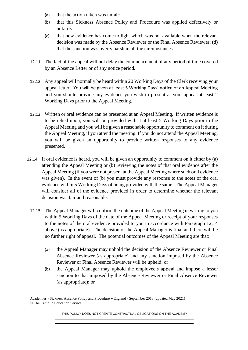- (a) that the action taken was unfair;
- (b) that this Sickness Absence Policy and Procedure was applied defectively or unfairly;
- (c) that new evidence has come to light which was not available when the relevant decision was made by the Absence Reviewer or the Final Absence Reviewer; (d) that the sanction was overly harsh in all the circumstances.
- 12.11 The fact of the appeal will not delay the commencement of any period of time covered by an Absence Letter or of any notice period.
- 12.12 Any appeal will normally be heard within 20 Working Days of the Clerk receiving your appeal letter. You will be given at least 5 Working Days' notice of an Appeal Meeting and you should provide any evidence you wish to present at your appeal at least 2 Working Days prior to the Appeal Meeting.
- 12.13 Written or oral evidence can be presented at an Appeal Meeting. If written evidence is to be relied upon, you will be provided with it at least 5 Working Days prior to the Appeal Meeting and you will be given a reasonable opportunity to comment on it during the Appeal Meeting, if you attend the meeting. If you do not attend the Appeal Meeting, you will be given an opportunity to provide written responses to any evidence presented.
- 12.14 If oral evidence is heard, you will be given an opportunity to comment on it either by (a) attending the Appeal Meeting or (b) reviewing the notes of that oral evidence after the Appeal Meeting (if you were not present at the Appeal Meeting where such oral evidence was given). In the event of (b) you must provide any response to the notes of the oral evidence within 5 Working Days of being provided with the same. The Appeal Manager will consider all of the evidence provided in order to determine whether the relevant decision was fair and reasonable.
	- 12.15 The Appeal Manager will confirm the outcome of the Appeal Meeting in writing to you within 5 Working Days of the date of the Appeal Meeting or receipt of your responses to the notes of the oral evidence provided to you in accordance with Paragraph 12.14 above (as appropriate). The decision of the Appeal Manager is final and there will be no further right of appeal. The potential outcomes of the Appeal Meeting are that:
		- (a) the Appeal Manager may uphold the decision of the Absence Reviewer or Final Absence Reviewer (as appropriate) and any sanction imposed by the Absence Reviewer or Final Absence Reviewer will be upheld; or
		- (b) the Appeal Manager may uphold the employee's appeal and impose a lesser sanction to that imposed by the Absence Reviewer or Final Absence Reviewer (as appropriate); or

Academies - Sickness Absence Policy and Procedure – England - September 2013 (updated May 2021) © The Catholic Education Service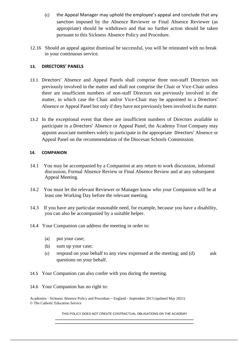- (c) the Appeal Manager may uphold the employee's appeal and conclude that any sanction imposed by the Absence Reviewer or Final Absence Reviewer (as appropriate) should be withdrawn and that no further action should be taken pursuant to this Sickness Absence Policy and Procedure.
- 12.16 Should an appeal against dismissal be successful, you will be reinstated with no break in your continuous service.

### **13. DIRECTORS' PANELS**

- 13.1 Directors' Absence and Appeal Panels shall comprise three non-staff Directors not previously involved in the matter and shall not comprise the Chair or Vice-Chair unless there are insufficient numbers of non-staff Directors not previously involved in the matter, in which case the Chair and/or Vice-Chair may be appointed to a Directors' Absence or Appeal Panel but only if they have not previously been involved in the matter.
- 13.2 In the exceptional event that there are insufficient numbers of Directors available to participate in a Directors' Absence or Appeal Panel, the Academy Trust Company may appoint associate members solely to participate in the appropriate Directors' Absence or Appeal Panel on the recommendation of the Diocesan Schools Commission.

### **14. COMPANION**

- 14.1 You may be accompanied by a Companion at any return to work discussion, informal discussion, Formal Absence Review or Final Absence Review and at any subsequent Appeal Meeting.
- 14.2 You must let the relevant Reviewer or Manager know who your Companion will be at least one Working Day before the relevant meeting.
- 14.3 If you have any particular reasonable need, for example, because you have a disability, you can also be accompanied by a suitable helper.
- 14.4 Your Companion can address the meeting in order to:
	- (a) put your case;
	- (b) sum up your case;
	- (c) respond on your behalf to any view expressed at the meeting; and (d) ask questions on your behalf.
- 14.5 Your Companion can also confer with you during the meeting.
- 14.6 Your Companion has no right to:

Academies - Sickness Absence Policy and Procedure – England - September 2013 (updated May 2021) © The Catholic Education Service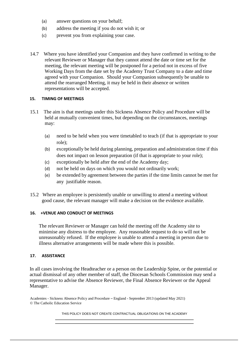- (a) answer questions on your behalf;
- (b) address the meeting if you do not wish it; or
- (c) prevent you from explaining your case.
- 14.7 Where you have identified your Companion and they have confirmed in writing to the relevant Reviewer or Manager that they cannot attend the date or time set for the meeting, the relevant meeting will be postponed for a period not in excess of five Working Days from the date set by the Academy Trust Company to a date and time agreed with your Companion. Should your Companion subsequently be unable to attend the rearranged Meeting, it may be held in their absence or written representations will be accepted.

#### **15. TIMING OF MEETINGS**

- 15.1 The aim is that meetings under this Sickness Absence Policy and Procedure will be held at mutually convenient times, but depending on the circumstances, meetings may:
	- (a) need to be held when you were timetabled to teach (if that is appropriate to your role);
	- (b) exceptionally be held during planning, preparation and administration time if this does not impact on lesson preparation (if that is appropriate to your role);
	- (c) exceptionally be held after the end of the Academy day;
	- (d) not be held on days on which you would not ordinarily work;
	- (e) be extended by agreement between the parties if the time limits cannot be met for any justifiable reason.
- 15.2 Where an employee is persistently unable or unwilling to attend a meeting without good cause, the relevant manager will make a decision on the evidence available.

### **16. +VENUE AND CONDUCT OF MEETINGS**

The relevant Reviewer or Manager can hold the meeting off the Academy site to minimise any distress to the employee. Any reasonable request to do so will not be unreasonably refused. If the employee is unable to attend a meeting in person due to illness alternative arrangements will be made where this is possible.

### **17. ASSISTANCE**

In all cases involving the Headteacher or a person on the Leadership Spine, or the potential or actual dismissal of any other member of staff, the Diocesan Schools Commission may send a representative to advise the Absence Reviewer, the Final Absence Reviewer or the Appeal Manager.

Academies - Sickness Absence Policy and Procedure – England - September 2013 (updated May 2021) © The Catholic Education Service